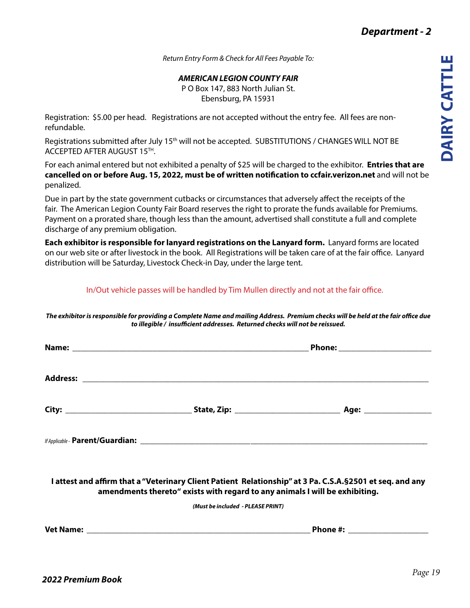*Return Entry Form & Check for All Fees Payable To:*

*AMERICAN LEGION COUNTY FAIR*

P O Box 147, 883 North Julian St. Ebensburg, PA 15931

Registration: \$5.00 per head. Registrations are not accepted without the entry fee. All fees are nonrefundable.

Registrations submitted after July 15<sup>th</sup> will not be accepted. SUBSTITUTIONS / CHANGES WILL NOT BE ACCEPTED AFTER AUGUST 15TH.

For each animal entered but not exhibited a penalty of \$25 will be charged to the exhibitor. **Entries that are cancelled on or before Aug. 15, 2022, must be of written notification to ccfair.verizon.net** and will not be penalized.

Due in part by the state government cutbacks or circumstances that adversely affect the receipts of the fair. The American Legion County Fair Board reserves the right to prorate the funds available for Premiums. Payment on a prorated share, though less than the amount, advertised shall constitute a full and complete discharge of any premium obligation.

**Each exhibitor is responsible for lanyard registrations on the Lanyard form.** Lanyard forms are located on our web site or after livestock in the book. All Registrations will be taken care of at the fair office. Lanyard distribution will be Saturday, Livestock Check-in Day, under the large tent.

In/Out vehicle passes will be handled by Tim Mullen directly and not at the fair office.

*The exhibitor is responsible for providing a Complete Name and mailing Address. Premium checks will be held at the fair office due to illegible / insufficient addresses. Returned checks will not be reissued.*

|                                                                                                                                                                                           | Phone: ________________________ |
|-------------------------------------------------------------------------------------------------------------------------------------------------------------------------------------------|---------------------------------|
|                                                                                                                                                                                           |                                 |
|                                                                                                                                                                                           |                                 |
|                                                                                                                                                                                           |                                 |
| I attest and affirm that a "Veterinary Client Patient Relationship" at 3 Pa. C.S.A. § 2501 et seq. and any<br>amendments thereto" exists with regard to any animals I will be exhibiting. |                                 |
| (Must be included - PLEASE PRINT)                                                                                                                                                         |                                 |
|                                                                                                                                                                                           |                                 |
|                                                                                                                                                                                           |                                 |